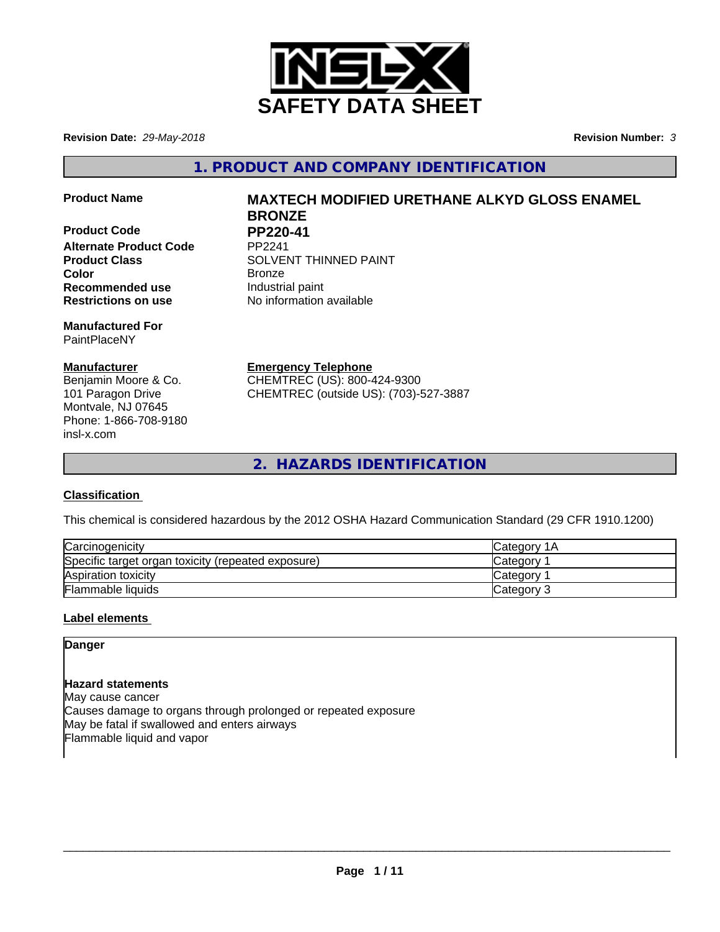

**Revision Date:** *29-May-2018* **Revision Number:** *3*

**1. PRODUCT AND COMPANY IDENTIFICATION**

**Product Code PP220-41**<br>Alternate Product Code PP2241 **Alternate Product Code Recommended use Industrial paint Restrictions on use** No information available

**Manufactured For** PaintPlaceNY

## **Manufacturer**

Benjamin Moore & Co. 101 Paragon Drive Montvale, NJ 07645 Phone: 1-866-708-9180 insl-x.com

# **Product Name MAXTECH MODIFIED URETHANE ALKYD GLOSS ENAMEL BRONZE**

**Product Class SOLVENT THINNED PAINT Color** Bronze

**Emergency Telephone**

CHEMTREC (US): 800-424-9300 CHEMTREC (outside US): (703)-527-3887

**2. HAZARDS IDENTIFICATION**

## **Classification**

This chemical is considered hazardous by the 2012 OSHA Hazard Communication Standard (29 CFR 1910.1200)

| Carcinogenicity                                    | <b>ICategory 1A</b> |
|----------------------------------------------------|---------------------|
| Specific target organ toxicity (repeated exposure) | <b>Category</b>     |
| Aspiration toxicity                                | Category            |
| Flammable liquids                                  | Category 3          |

## **Label elements**

**Danger**

**Hazard statements** May cause cancer Causes damage to organs through prolonged or repeated exposure May be fatal if swallowed and enters airways Flammable liquid and vapor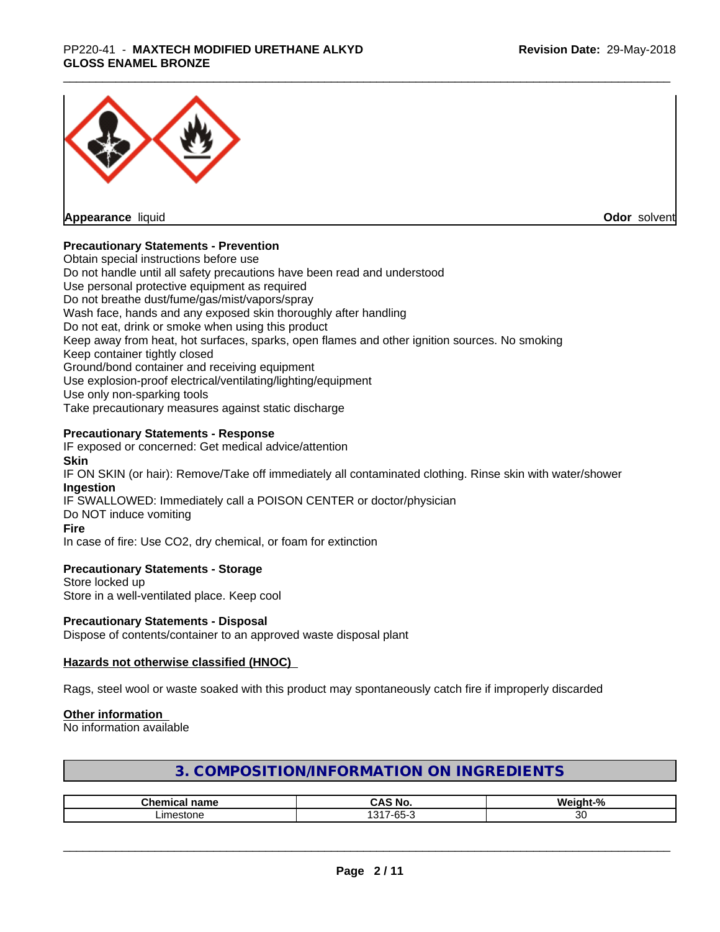

**Appearance** liquid **Odor** solvent

## **Precautionary Statements - Prevention**

Obtain special instructions before use Do not handle until all safety precautions have been read and understood Use personal protective equipment as required Do not breathe dust/fume/gas/mist/vapors/spray Wash face, hands and any exposed skin thoroughly after handling Do not eat, drink or smoke when using this product Keep away from heat, hot surfaces, sparks, open flames and other ignition sources. No smoking Keep container tightly closed Ground/bond container and receiving equipment Use explosion-proof electrical/ventilating/lighting/equipment Use only non-sparking tools Take precautionary measures against static discharge

## **Precautionary Statements - Response**

IF exposed or concerned: Get medical advice/attention **Skin** IF ON SKIN (or hair): Remove/Take off immediately all contaminated clothing. Rinse skin with water/shower **Ingestion** IF SWALLOWED: Immediately call a POISON CENTER or doctor/physician Do NOT induce vomiting **Fire** In case of fire: Use CO2, dry chemical, or foam for extinction

## **Precautionary Statements - Storage**

Store locked up Store in a well-ventilated place. Keep cool

## **Precautionary Statements - Disposal**

Dispose of contents/container to an approved waste disposal plant

## **Hazards not otherwise classified (HNOC)**

Rags, steel wool or waste soaked with this product may spontaneously catch fire if improperly discarded

## **Other information**

No information available

| 3. COMPOSITION/INFORMATION ON INGREDIENTS |
|-------------------------------------------|
|-------------------------------------------|

| ™ho.<br>$- - -$<br>name | . .<br>RI.                                      | . .<br>$\sqrt{2}$ |
|-------------------------|-------------------------------------------------|-------------------|
| imathn                  | $- - -$<br>$\sim$ $\sim$<br>$-55$<br>-บน<br>ושו | ~<br>u            |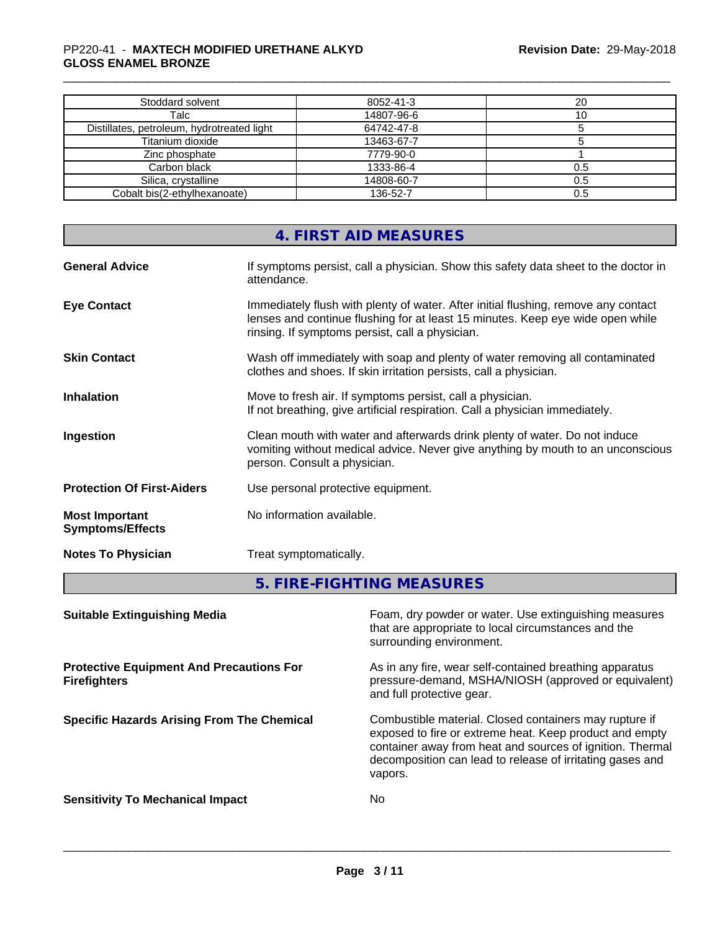## \_\_\_\_\_\_\_\_\_\_\_\_\_\_\_\_\_\_\_\_\_\_\_\_\_\_\_\_\_\_\_\_\_\_\_\_\_\_\_\_\_\_\_\_\_\_\_\_\_\_\_\_\_\_\_\_\_\_\_\_\_\_\_\_\_\_\_\_\_\_\_\_\_\_\_\_\_\_\_\_\_\_\_\_\_\_\_\_\_\_\_\_\_ PP220-41 - **MAXTECH MODIFIED URETHANE ALKYD GLOSS ENAMEL BRONZE**

| Stoddard solvent                           | 8052-41-3  | 20  |
|--------------------------------------------|------------|-----|
| Talc                                       | 14807-96-6 |     |
| Distillates, petroleum, hydrotreated light | 64742-47-8 |     |
| Titanium dioxide                           | 13463-67-7 |     |
| Zinc phosphate                             | 7779-90-0  |     |
| Carbon black                               | 1333-86-4  |     |
| Silica, crystalline                        | 14808-60-7 | 0.5 |
| Cobalt bis(2-ethylhexanoate)               | 136-52-7   | 0.5 |

|                                                  | 4. FIRST AID MEASURES                                                                                                                                                                                                   |
|--------------------------------------------------|-------------------------------------------------------------------------------------------------------------------------------------------------------------------------------------------------------------------------|
| <b>General Advice</b>                            | If symptoms persist, call a physician. Show this safety data sheet to the doctor in<br>attendance.                                                                                                                      |
| <b>Eye Contact</b>                               | Immediately flush with plenty of water. After initial flushing, remove any contact<br>lenses and continue flushing for at least 15 minutes. Keep eye wide open while<br>rinsing. If symptoms persist, call a physician. |
| <b>Skin Contact</b>                              | Wash off immediately with soap and plenty of water removing all contaminated<br>clothes and shoes. If skin irritation persists, call a physician.                                                                       |
| <b>Inhalation</b>                                | Move to fresh air. If symptoms persist, call a physician.<br>If not breathing, give artificial respiration. Call a physician immediately.                                                                               |
| Ingestion                                        | Clean mouth with water and afterwards drink plenty of water. Do not induce<br>vomiting without medical advice. Never give anything by mouth to an unconscious<br>person. Consult a physician.                           |
| <b>Protection Of First-Aiders</b>                | Use personal protective equipment.                                                                                                                                                                                      |
| <b>Most Important</b><br><b>Symptoms/Effects</b> | No information available.                                                                                                                                                                                               |
| <b>Notes To Physician</b>                        | Treat symptomatically.                                                                                                                                                                                                  |

**5. FIRE-FIGHTING MEASURES**

| As in any fire, wear self-contained breathing apparatus<br><b>Protective Equipment And Precautions For</b><br><b>Firefighters</b><br>pressure-demand, MSHA/NIOSH (approved or equivalent)<br>and full protective gear.                                                                                      |
|-------------------------------------------------------------------------------------------------------------------------------------------------------------------------------------------------------------------------------------------------------------------------------------------------------------|
|                                                                                                                                                                                                                                                                                                             |
| Combustible material. Closed containers may rupture if<br><b>Specific Hazards Arising From The Chemical</b><br>exposed to fire or extreme heat. Keep product and empty<br>container away from heat and sources of ignition. Thermal<br>decomposition can lead to release of irritating gases and<br>vapors. |
| No.<br><b>Sensitivity To Mechanical Impact</b>                                                                                                                                                                                                                                                              |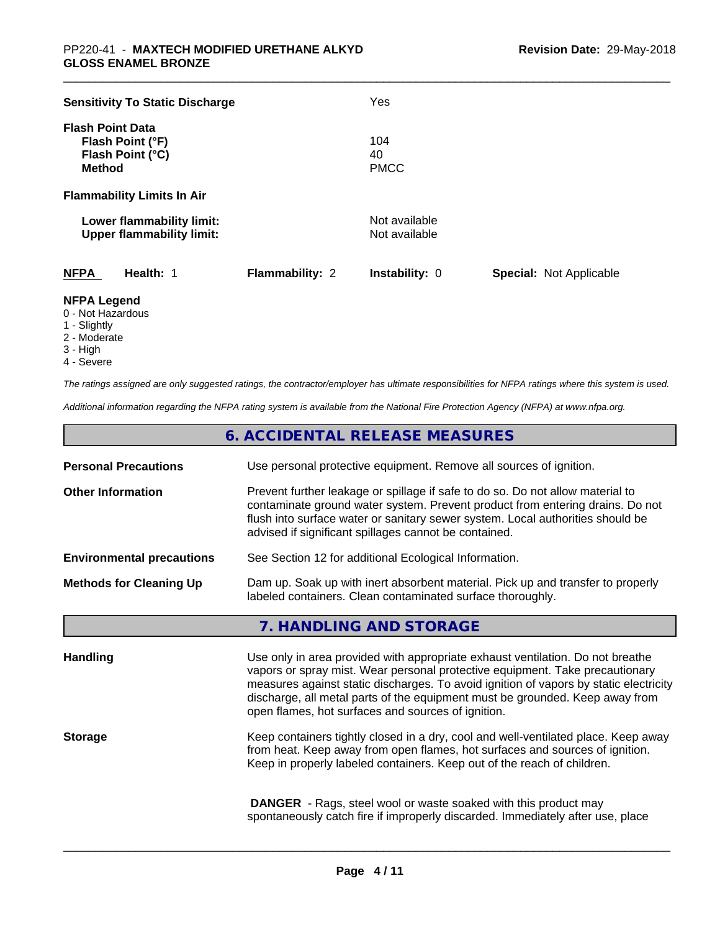| <b>Sensitivity To Static Discharge</b>                                           | Yes                                                     |
|----------------------------------------------------------------------------------|---------------------------------------------------------|
| <b>Flash Point Data</b><br>Flash Point (°F)<br>Flash Point (°C)<br><b>Method</b> | 104<br>40<br><b>PMCC</b>                                |
| <b>Flammability Limits In Air</b>                                                |                                                         |
| Lower flammability limit:<br><b>Upper flammability limit:</b>                    | Not available<br>Not available                          |
| <b>NFPA</b><br><b>Flammability: 2</b><br>Health: 1                               | <b>Instability: 0</b><br><b>Special: Not Applicable</b> |

#### **NFPA Legend** 0 - Not Hazardous

- 1 Slightly
- 2 Moderate
- 
- 3 High
- 4 Severe

*The ratings assigned are only suggested ratings, the contractor/employer has ultimate responsibilities for NFPA ratings where this system is used.*

*Additional information regarding the NFPA rating system is available from the National Fire Protection Agency (NFPA) at www.nfpa.org.*

## **6. ACCIDENTAL RELEASE MEASURES**

| <b>Personal Precautions</b>                                                                                                                                                     | Use personal protective equipment. Remove all sources of ignition.                                                                                                                                                                                                                                                                                                                            |
|---------------------------------------------------------------------------------------------------------------------------------------------------------------------------------|-----------------------------------------------------------------------------------------------------------------------------------------------------------------------------------------------------------------------------------------------------------------------------------------------------------------------------------------------------------------------------------------------|
| <b>Other Information</b>                                                                                                                                                        | Prevent further leakage or spillage if safe to do so. Do not allow material to<br>contaminate ground water system. Prevent product from entering drains. Do not<br>flush into surface water or sanitary sewer system. Local authorities should be<br>advised if significant spillages cannot be contained.                                                                                    |
| <b>Environmental precautions</b>                                                                                                                                                | See Section 12 for additional Ecological Information.                                                                                                                                                                                                                                                                                                                                         |
| <b>Methods for Cleaning Up</b><br>Dam up. Soak up with inert absorbent material. Pick up and transfer to properly<br>labeled containers. Clean contaminated surface thoroughly. |                                                                                                                                                                                                                                                                                                                                                                                               |
|                                                                                                                                                                                 | 7. HANDLING AND STORAGE                                                                                                                                                                                                                                                                                                                                                                       |
| <b>Handling</b>                                                                                                                                                                 | Use only in area provided with appropriate exhaust ventilation. Do not breathe<br>vapors or spray mist. Wear personal protective equipment. Take precautionary<br>measures against static discharges. To avoid ignition of vapors by static electricity<br>discharge, all metal parts of the equipment must be grounded. Keep away from<br>open flames, hot surfaces and sources of ignition. |
| <b>Storage</b>                                                                                                                                                                  | Keep containers tightly closed in a dry, cool and well-ventilated place. Keep away                                                                                                                                                                                                                                                                                                            |
|                                                                                                                                                                                 | from heat. Keep away from open flames, hot surfaces and sources of ignition.<br>Keep in properly labeled containers. Keep out of the reach of children.                                                                                                                                                                                                                                       |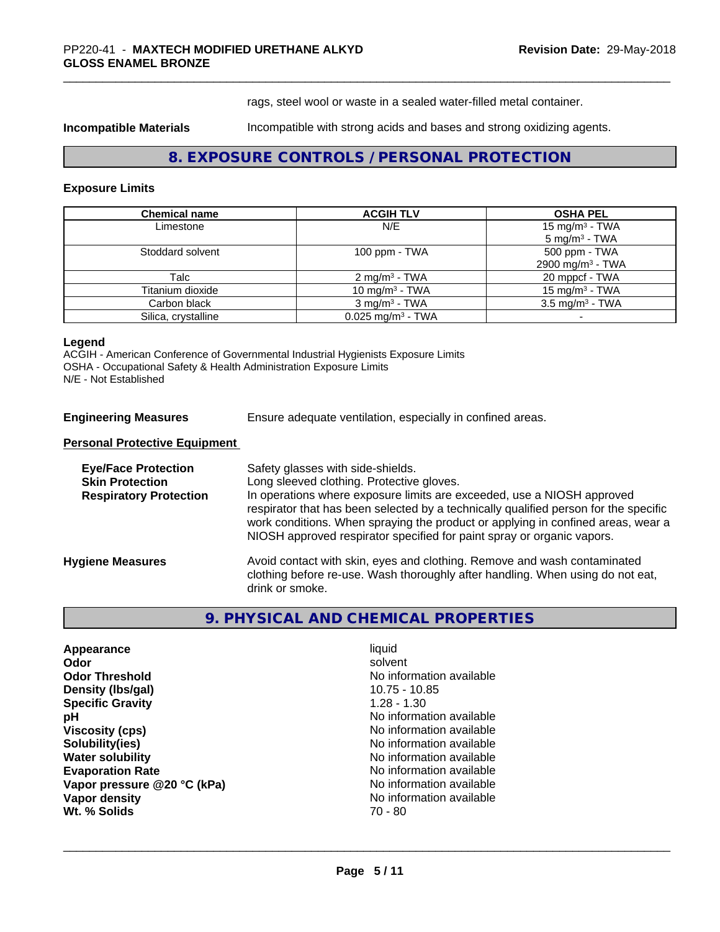rags, steel wool or waste in a sealed water-filled metal container.

**Incompatible Materials Incompatible with strong acids and bases and strong oxidizing agents.** 

## **8. EXPOSURE CONTROLS / PERSONAL PROTECTION**

#### **Exposure Limits**

| <b>Chemical name</b> | <b>ACGIH TLV</b>                | <b>OSHA PEL</b>              |
|----------------------|---------------------------------|------------------------------|
| Limestone            | N/E                             | 15 mg/m <sup>3</sup> - TWA   |
|                      |                                 | $5 \text{ mg/m}^3$ - TWA     |
| Stoddard solvent     | 100 ppm $-$ TWA                 | 500 ppm - TWA                |
|                      |                                 | 2900 mg/m <sup>3</sup> - TWA |
| Talc                 | $2 \text{ mg/m}^3$ - TWA        | 20 mppcf - TWA               |
| Titanium dioxide     | 10 mg/m $3$ - TWA               | 15 mg/m <sup>3</sup> - TWA   |
| Carbon black         | $3$ mg/m <sup>3</sup> - TWA     | $3.5 \text{ mg/m}^3$ - TWA   |
| Silica, crystalline  | $0.025$ mg/m <sup>3</sup> - TWA |                              |

## **Legend**

ACGIH - American Conference of Governmental Industrial Hygienists Exposure Limits OSHA - Occupational Safety & Health Administration Exposure Limits N/E - Not Established

| <b>Engineering Measures</b> | Ensure adequate ventilation, especially in confined areas. |  |
|-----------------------------|------------------------------------------------------------|--|
|-----------------------------|------------------------------------------------------------|--|

#### **Personal Protective Equipment**

| <b>Eye/Face Protection</b><br><b>Skin Protection</b><br><b>Respiratory Protection</b> | Safety glasses with side-shields.<br>Long sleeved clothing. Protective gloves.<br>In operations where exposure limits are exceeded, use a NIOSH approved<br>respirator that has been selected by a technically qualified person for the specific<br>work conditions. When spraying the product or applying in confined areas, wear a<br>NIOSH approved respirator specified for paint spray or organic vapors. |
|---------------------------------------------------------------------------------------|----------------------------------------------------------------------------------------------------------------------------------------------------------------------------------------------------------------------------------------------------------------------------------------------------------------------------------------------------------------------------------------------------------------|
| <b>Hygiene Measures</b>                                                               | Avoid contact with skin, eyes and clothing. Remove and wash contaminated<br>clothing before re-use. Wash thoroughly after handling. When using do not eat,<br>drink or smoke.                                                                                                                                                                                                                                  |

## **9. PHYSICAL AND CHEMICAL PROPERTIES**

| Appearance                  | liquid                   |
|-----------------------------|--------------------------|
| Odor                        | solvent                  |
| <b>Odor Threshold</b>       | No information available |
| Density (Ibs/gal)           | $10.75 - 10.85$          |
| <b>Specific Gravity</b>     | $1.28 - 1.30$            |
| рH                          | No information available |
| <b>Viscosity (cps)</b>      | No information available |
| Solubility(ies)             | No information available |
| <b>Water solubility</b>     | No information available |
| <b>Evaporation Rate</b>     | No information available |
| Vapor pressure @20 °C (kPa) | No information available |
| Vapor density               | No information available |
| Wt. % Solids                | 70 - 80                  |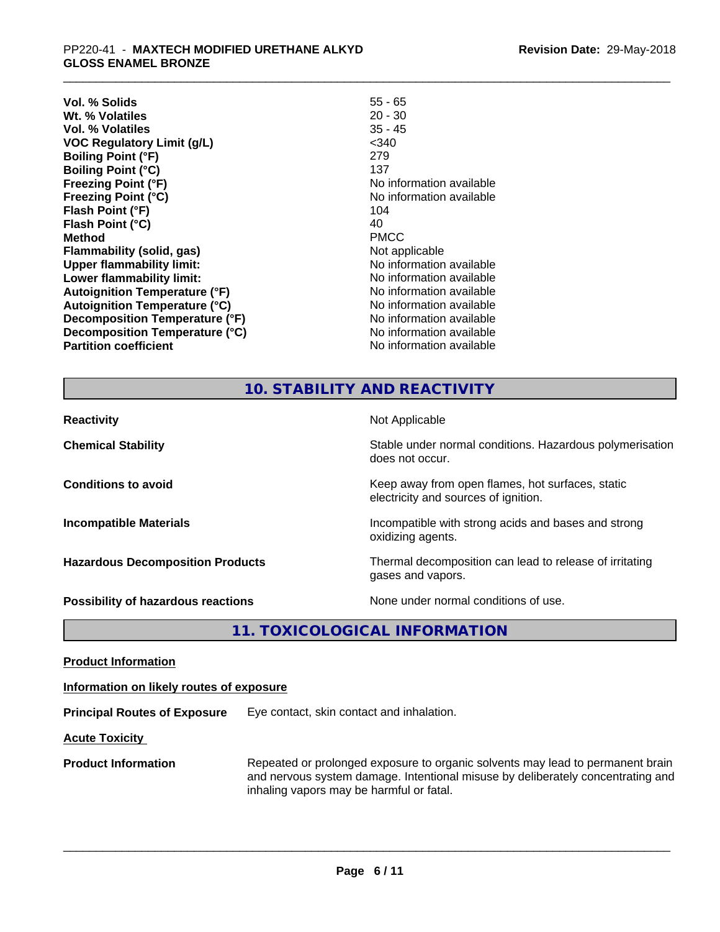| Vol. % Solids                        | $55 - 65$                |
|--------------------------------------|--------------------------|
| Wt. % Volatiles                      | $20 - 30$                |
| Vol. % Volatiles                     | $35 - 45$                |
| <b>VOC Regulatory Limit (g/L)</b>    | $340$                    |
| <b>Boiling Point (°F)</b>            | 279                      |
| <b>Boiling Point (°C)</b>            | 137                      |
| <b>Freezing Point (°F)</b>           | No information available |
| <b>Freezing Point (°C)</b>           | No information available |
| Flash Point (°F)                     | 104                      |
| Flash Point (°C)                     | 40                       |
| <b>Method</b>                        | <b>PMCC</b>              |
| Flammability (solid, gas)            | Not applicable           |
| <b>Upper flammability limit:</b>     | No information available |
| Lower flammability limit:            | No information available |
| <b>Autoignition Temperature (°F)</b> | No information available |
| <b>Autoignition Temperature (°C)</b> | No information available |
| Decomposition Temperature (°F)       | No information available |
| Decomposition Temperature (°C)       | No information available |
| <b>Partition coefficient</b>         | No information available |
|                                      |                          |

## **10. STABILITY AND REACTIVITY**

| <b>Reactivity</b>                       | Not Applicable                                                                           |
|-----------------------------------------|------------------------------------------------------------------------------------------|
| <b>Chemical Stability</b>               | Stable under normal conditions. Hazardous polymerisation<br>does not occur.              |
| <b>Conditions to avoid</b>              | Keep away from open flames, hot surfaces, static<br>electricity and sources of ignition. |
| <b>Incompatible Materials</b>           | Incompatible with strong acids and bases and strong<br>oxidizing agents.                 |
| <b>Hazardous Decomposition Products</b> | Thermal decomposition can lead to release of irritating<br>gases and vapors.             |
| Possibility of hazardous reactions      | None under normal conditions of use.                                                     |

**11. TOXICOLOGICAL INFORMATION**

**Product Information Information on likely routes of exposure Principal Routes of Exposure** Eye contact, skin contact and inhalation. **Acute Toxicity Product Information** Repeated or prolonged exposure to organic solvents may lead to permanent brain and nervous system damage. Intentional misuse by deliberately concentrating and inhaling vapors may be harmful or fatal.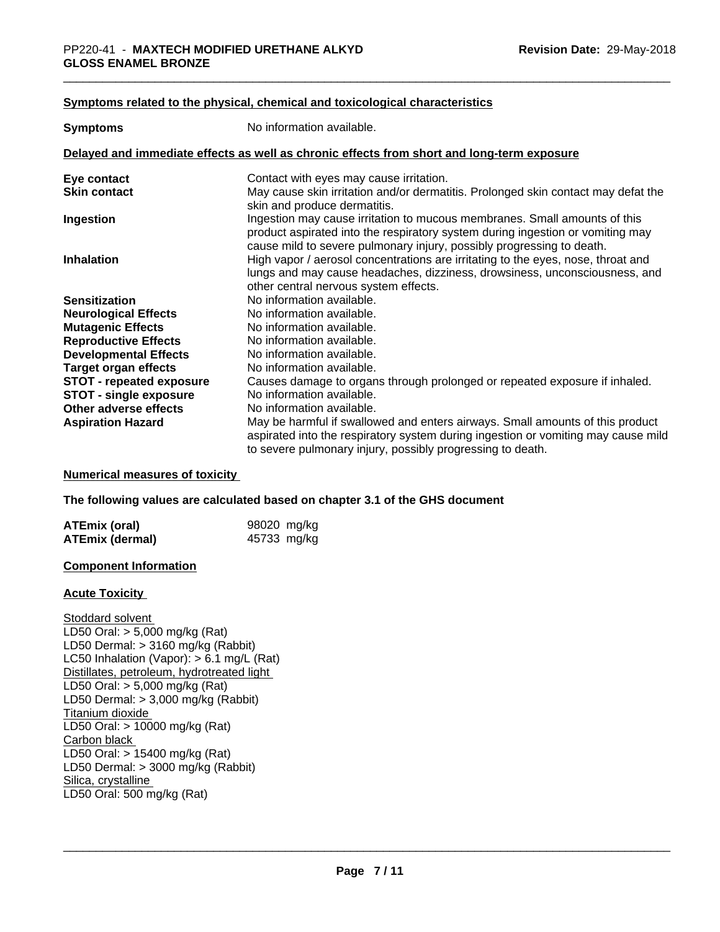## **<u>Symptoms related to the physical, chemical and toxicological characteristics</u>**

| <b>Symptoms</b>                 | No information available.                                                                                                                                                                                                            |
|---------------------------------|--------------------------------------------------------------------------------------------------------------------------------------------------------------------------------------------------------------------------------------|
|                                 | Delayed and immediate effects as well as chronic effects from short and long-term exposure                                                                                                                                           |
| Eye contact                     | Contact with eyes may cause irritation.                                                                                                                                                                                              |
| <b>Skin contact</b>             | May cause skin irritation and/or dermatitis. Prolonged skin contact may defat the<br>skin and produce dermatitis.                                                                                                                    |
| Ingestion                       | Ingestion may cause irritation to mucous membranes. Small amounts of this<br>product aspirated into the respiratory system during ingestion or vomiting may<br>cause mild to severe pulmonary injury, possibly progressing to death. |
| <b>Inhalation</b>               | High vapor / aerosol concentrations are irritating to the eyes, nose, throat and<br>lungs and may cause headaches, dizziness, drowsiness, unconsciousness, and<br>other central nervous system effects.                              |
| <b>Sensitization</b>            | No information available.                                                                                                                                                                                                            |
| <b>Neurological Effects</b>     | No information available.                                                                                                                                                                                                            |
| <b>Mutagenic Effects</b>        | No information available.                                                                                                                                                                                                            |
| <b>Reproductive Effects</b>     | No information available.                                                                                                                                                                                                            |
| <b>Developmental Effects</b>    | No information available.                                                                                                                                                                                                            |
| <b>Target organ effects</b>     | No information available.                                                                                                                                                                                                            |
| <b>STOT - repeated exposure</b> | Causes damage to organs through prolonged or repeated exposure if inhaled.                                                                                                                                                           |
| <b>STOT - single exposure</b>   | No information available.                                                                                                                                                                                                            |
| Other adverse effects           | No information available.                                                                                                                                                                                                            |
| <b>Aspiration Hazard</b>        | May be harmful if swallowed and enters airways. Small amounts of this product<br>aspirated into the respiratory system during ingestion or vomiting may cause mild<br>to severe pulmonary injury, possibly progressing to death.     |

## **Numerical measures of toxicity**

#### **The following values are calculated based on chapter 3.1 of the GHS document**

| <b>ATEmix (oral)</b> | 98020 mg/kg |
|----------------------|-------------|
| ATEmix (dermal)      | 45733 mg/kg |

## **Component Information**

## **Acute Toxicity**

Stoddard solvent LD50 Oral: > 5,000 mg/kg (Rat) LD50 Dermal: > 3160 mg/kg (Rabbit) LC50 Inhalation (Vapor): > 6.1 mg/L (Rat) Distillates, petroleum, hydrotreated light LD50 Oral: > 5,000 mg/kg (Rat) LD50 Dermal: > 3,000 mg/kg (Rabbit) Titanium dioxide LD50 Oral: > 10000 mg/kg (Rat) Carbon black LD50 Oral: > 15400 mg/kg (Rat) LD50 Dermal: > 3000 mg/kg (Rabbit) Silica, crystalline LD50 Oral: 500 mg/kg (Rat)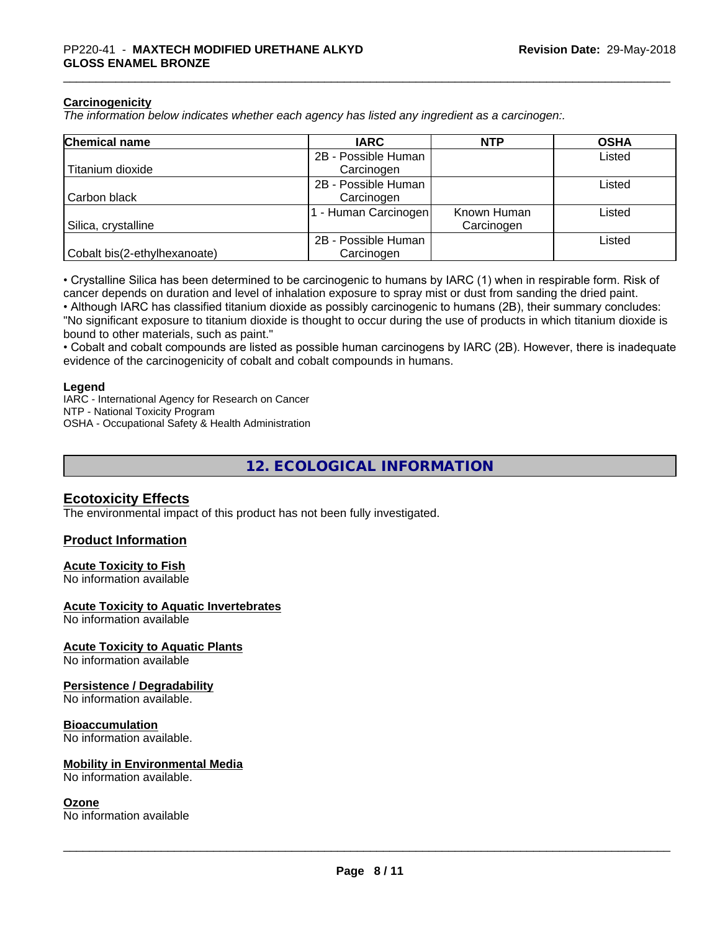## **Carcinogenicity**

*The information below indicateswhether each agency has listed any ingredient as a carcinogen:.*

| Chemical name                | <b>IARC</b>         | <b>NTP</b>  | <b>OSHA</b> |
|------------------------------|---------------------|-------------|-------------|
|                              | 2B - Possible Human |             | Listed      |
| Titanium dioxide             | Carcinogen          |             |             |
|                              | 2B - Possible Human |             | Listed      |
| Carbon black                 | Carcinogen          |             |             |
|                              | - Human Carcinogen  | Known Human | Listed      |
| Silica, crystalline          |                     | Carcinogen  |             |
|                              | 2B - Possible Human |             | Listed      |
| Cobalt bis(2-ethylhexanoate) | Carcinogen          |             |             |

• Crystalline Silica has been determined to be carcinogenic to humans by IARC (1) when in respirable form. Risk of cancer depends on duration and level of inhalation exposure to spray mist or dust from sanding the dried paint.

• Although IARC has classified titanium dioxide as possibly carcinogenic to humans (2B), their summary concludes: "No significant exposure to titanium dioxide is thought to occur during the use of products in which titanium dioxide is bound to other materials, such as paint."

• Cobalt and cobalt compounds are listed as possible human carcinogens by IARC (2B). However, there is inadequate evidence of the carcinogenicity of cobalt and cobalt compounds in humans.

#### **Legend**

IARC - International Agency for Research on Cancer NTP - National Toxicity Program OSHA - Occupational Safety & Health Administration

**12. ECOLOGICAL INFORMATION**

## **Ecotoxicity Effects**

The environmental impact of this product has not been fully investigated.

## **Product Information**

## **Acute Toxicity to Fish**

No information available

## **Acute Toxicity to Aquatic Invertebrates**

No information available

## **Acute Toxicity to Aquatic Plants**

No information available

## **Persistence / Degradability**

No information available.

#### **Bioaccumulation**

No information available.

#### **Mobility in Environmental Media**

No information available.

## **Ozone**

No information available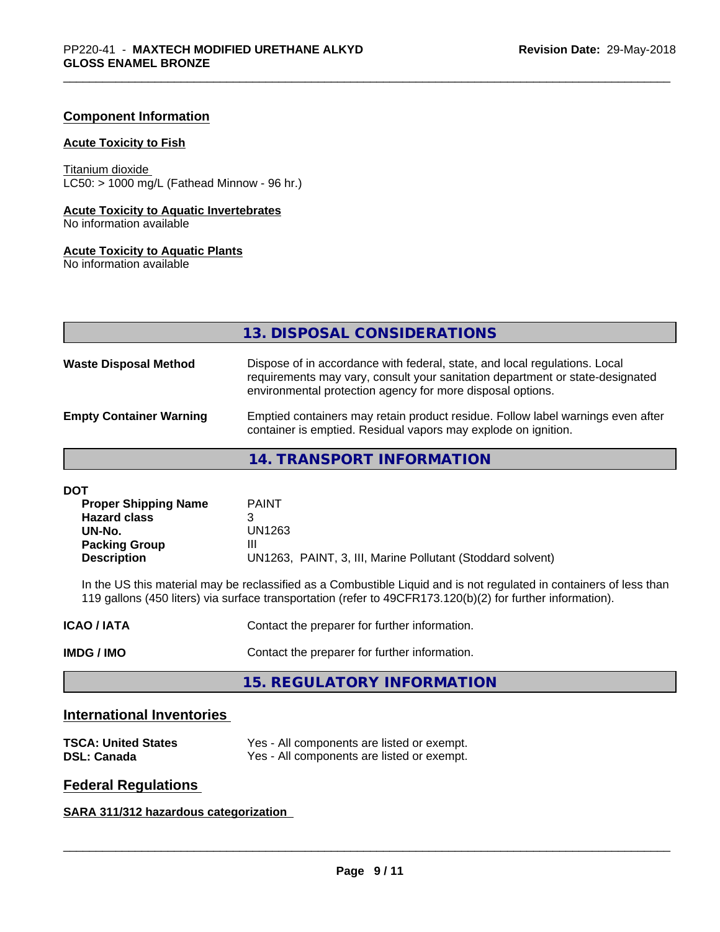## **Component Information**

## **Acute Toxicity to Fish**

Titanium dioxide  $LC50:$  > 1000 mg/L (Fathead Minnow - 96 hr.)

## **Acute Toxicity to Aquatic Invertebrates**

No information available

#### **Acute Toxicity to Aquatic Plants**

No information available

|                                | 13. DISPOSAL CONSIDERATIONS                                                                                                                                                                                               |
|--------------------------------|---------------------------------------------------------------------------------------------------------------------------------------------------------------------------------------------------------------------------|
| <b>Waste Disposal Method</b>   | Dispose of in accordance with federal, state, and local regulations. Local<br>requirements may vary, consult your sanitation department or state-designated<br>environmental protection agency for more disposal options. |
| <b>Empty Container Warning</b> | Emptied containers may retain product residue. Follow label warnings even after<br>container is emptied. Residual vapors may explode on ignition.                                                                         |

## **14. TRANSPORT INFORMATION**

| <b>DOT</b> |
|------------|
|------------|

| <b>Proper Shipping Name</b> | PAINT                                                      |
|-----------------------------|------------------------------------------------------------|
| <b>Hazard class</b>         |                                                            |
| UN-No.                      | UN1263                                                     |
| <b>Packing Group</b>        | Ш                                                          |
| <b>Description</b>          | UN1263, PAINT, 3, III, Marine Pollutant (Stoddard solvent) |

In the US this material may be reclassified as a Combustible Liquid and is not regulated in containers of less than 119 gallons (450 liters) via surface transportation (refer to 49CFR173.120(b)(2) for further information).

| <b>ICAO/IATA</b> | Contact the preparer for further information. |
|------------------|-----------------------------------------------|
| IMDG / IMO       | Contact the preparer for further information. |
|                  | 15. REGULATORY INFORMATION                    |

## **International Inventories**

| <b>TSCA: United States</b> | Yes - All components are listed or exempt. |
|----------------------------|--------------------------------------------|
| <b>DSL: Canada</b>         | Yes - All components are listed or exempt. |

## **Federal Regulations**

## **SARA 311/312 hazardous categorization**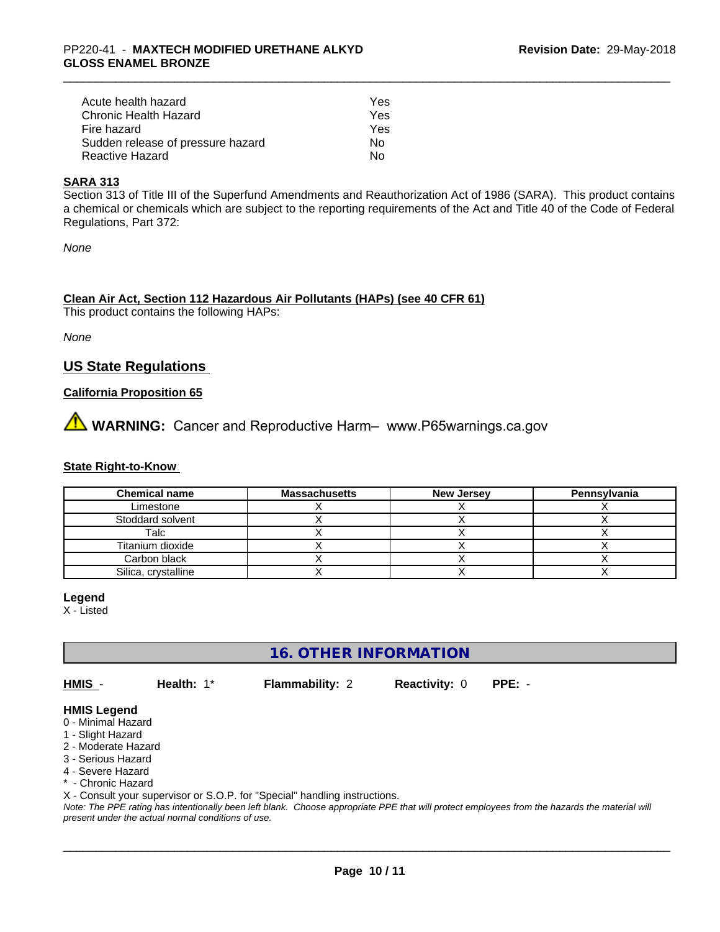| Acute health hazard               | Yes |
|-----------------------------------|-----|
| Chronic Health Hazard             | Yes |
| Fire hazard                       | Yes |
| Sudden release of pressure hazard | Nο  |
| Reactive Hazard                   | N٥  |

## **SARA 313**

Section 313 of Title III of the Superfund Amendments and Reauthorization Act of 1986 (SARA). This product contains a chemical or chemicals which are subject to the reporting requirements of the Act and Title 40 of the Code of Federal Regulations, Part 372:

*None*

#### **Clean Air Act,Section 112 Hazardous Air Pollutants (HAPs) (see 40 CFR 61)** This product contains the following HAPs:

*None*

## **US State Regulations**

## **California Proposition 65**

**A** WARNING: Cancer and Reproductive Harm– www.P65warnings.ca.gov

## **State Right-to-Know**

| <b>Chemical name</b> | <b>Massachusetts</b> | <b>New Jersey</b> | Pennsylvania |
|----------------------|----------------------|-------------------|--------------|
| Limestone            |                      |                   |              |
| Stoddard solvent     |                      |                   |              |
| Talc                 |                      |                   |              |
| Titanium dioxide     |                      |                   |              |
| Carbon black         |                      |                   |              |
| Silica, crystalline  |                      |                   |              |

**Legend**

X - Listed

**16. OTHER INFORMATION**

**HMIS** - **Health:** 1\* **Flammability:** 2 **Reactivity:** 0 **PPE:** -

 $\overline{\phantom{a}}$  ,  $\overline{\phantom{a}}$  ,  $\overline{\phantom{a}}$  ,  $\overline{\phantom{a}}$  ,  $\overline{\phantom{a}}$  ,  $\overline{\phantom{a}}$  ,  $\overline{\phantom{a}}$  ,  $\overline{\phantom{a}}$  ,  $\overline{\phantom{a}}$  ,  $\overline{\phantom{a}}$  ,  $\overline{\phantom{a}}$  ,  $\overline{\phantom{a}}$  ,  $\overline{\phantom{a}}$  ,  $\overline{\phantom{a}}$  ,  $\overline{\phantom{a}}$  ,  $\overline{\phantom{a}}$ 

## **HMIS Legend**

- 0 Minimal Hazard
- 1 Slight Hazard
- 2 Moderate Hazard
- 3 Serious Hazard
- 4 Severe Hazard
- **Chronic Hazard**

X - Consult your supervisor or S.O.P. for "Special" handling instructions.

*Note: The PPE rating has intentionally been left blank. Choose appropriate PPE that will protect employees from the hazards the material will present under the actual normal conditions of use.*